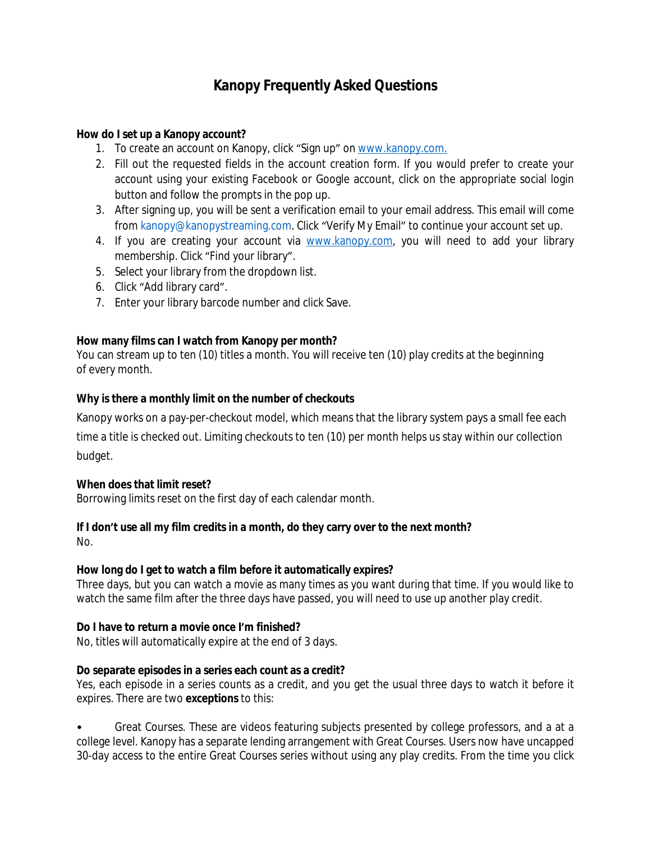# **Kanopy Frequently Asked Questions**

### **How do I set up a Kanopy account?**

- 1. To create an account on Kanopy, click "Sign up" on [www.kanopy.com.](http://kanopy.com/)
- 2. Fill out the requested fields in the account creation form. If you would prefer to create your account using your existing Facebook or Google account, click on the appropriate social login button and follow the prompts in the pop up.
- 3. After signing up, you will be sent a verification email to your email address. This email will come from [kanopy@kanopystreaming.com](mailto:kanopy@kanopystreaming.com). Click "Verify My Email" to continue your account set up.
- 4. If you are creating your account via [www.kanopy.com](http://www.kanopy.com/), you will need to add your library membership. Click "Find your library".
- 5. Select your library from the dropdown list.
- 6. Click "Add library card".
- 7. Enter your library barcode number and click Save.

## **How many films can I watch from Kanopy per month?**

You can stream up to ten (10) titles a month. You will receive ten (10) play credits at the beginning of every month.

## **Why is there a monthly limit on the number of checkouts**

Kanopy works on a pay-per-checkout model, which means that the library system pays a small fee each time a title is checked out. Limiting checkouts to ten (10) per month helps us stay within our collection budget.

#### **When does that limit reset?**

Borrowing limits reset on the first day of each calendar month.

# **If I don't use all my film credits in a month, do they carry over to the next month?**

No.

# **How long do I get to watch a film before it automatically expires?**

Three days, but you can watch a movie as many times as you want during that time. If you would like to watch the same film after the three days have passed, you will need to use up another play credit.

# **Do I have to return a movie once I'm finished?**

No, titles will automatically expire at the end of 3 days.

#### **Do separate episodes in a series each count as a credit?**

Yes, each episode in a series counts as a credit, and you get the usual three days to watch it before it expires. There are two **exceptions** to this:

• Great Courses. These are videos featuring subjects presented by college professors, and a at a college level. Kanopy has a separate lending arrangement with Great Courses. Users now have uncapped 30-day access to the entire Great Courses series without using any play credits. From the time you click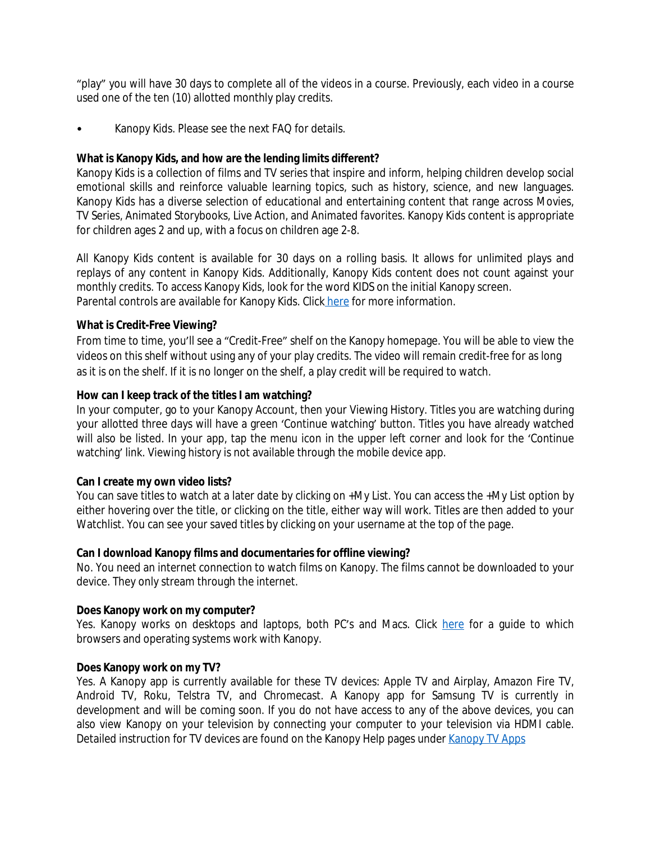"play" you will have 30 days to complete all of the videos in a course. Previously, each video in a course used one of the ten (10) allotted monthly play credits.

• Kanopy Kids. Please see the next FAQ for details.

### **What is Kanopy Kids, and how are the lending limits different?**

Kanopy Kids is a collection of films and TV series that inspire and inform, helping children develop social emotional skills and reinforce valuable learning topics, such as history, science, and new languages. Kanopy Kids has a diverse selection of educational and entertaining content that range across Movies, TV Series, Animated Storybooks, Live Action, and Animated favorites. Kanopy Kids content is appropriate for children ages 2 and up, with a focus on children age 2-8.

All Kanopy Kids content is available for 30 days on a rolling basis. It allows for unlimited plays and replays of any content in Kanopy Kids. Additionally, Kanopy Kids content does not count against your monthly credits. To access Kanopy Kids, look for the word KIDS on the initial Kanopy screen. Parental controls are available for Kanopy Kids. Clic[k here](https://help.kanopy.com/hc/en-us/articles/360003268334#pin) for more information.

## **What is Credit-Free Viewing?**

From time to time, you'll see a "Credit-Free" shelf on the Kanopy homepage. You will be able to view the videos on this shelf without using any of your play credits. The video will remain credit-free for as long as it is on the shelf. If it is no longer on the shelf, a play credit will be required to watch.

#### **How can I keep track of the titles I am watching?**

In your computer, go to your Kanopy Account, then your Viewing History. Titles you are watching during your allotted three days will have a green 'Continue watching' button. Titles you have already watched will also be listed. In your app, tap the menu icon in the upper left corner and look for the 'Continue watching' link. Viewing history is not available through the mobile device app.

#### **Can I create my own video lists?**

You can save titles to watch at a later date by clicking on +My List. You can access the +My List option by either hovering over the title, or clicking on the title, either way will work. Titles are then added to your Watchlist. You can see your saved titles by clicking on your username at the top of the page.

#### **Can I download Kanopy films and documentaries for offline viewing?**

No. You need an internet connection to watch films on Kanopy. The films cannot be downloaded to your device. They only stream through the internet.

#### **Does Kanopy work on my computer?**

Yes. Kanopy works on desktops and laptops, both PC's and Macs. Click [here](https://help.kanopy.com/hc/en-us/articles/115004590467-Supported-desktop-browsers-and-systems) for a quide to which browsers and operating systems work with Kanopy.

#### **Does Kanopy work on my TV?**

Yes. A Kanopy app is currently available for these TV devices: Apple TV and Airplay, Amazon Fire TV, Android TV, Roku, Telstra TV, and Chromecast. A Kanopy app for Samsung TV is currently in development and will be coming soon. If you do not have access to any of the above devices, you can also view Kanopy on your television by connecting your computer to your television via HDMI cable. Detailed instruction for TV devices are found on the Kanopy Help pages under [Kanopy TV Apps](https://help.kanopy.com/hc/en-us/articles/360019042413-Kanopy-TV-Apps)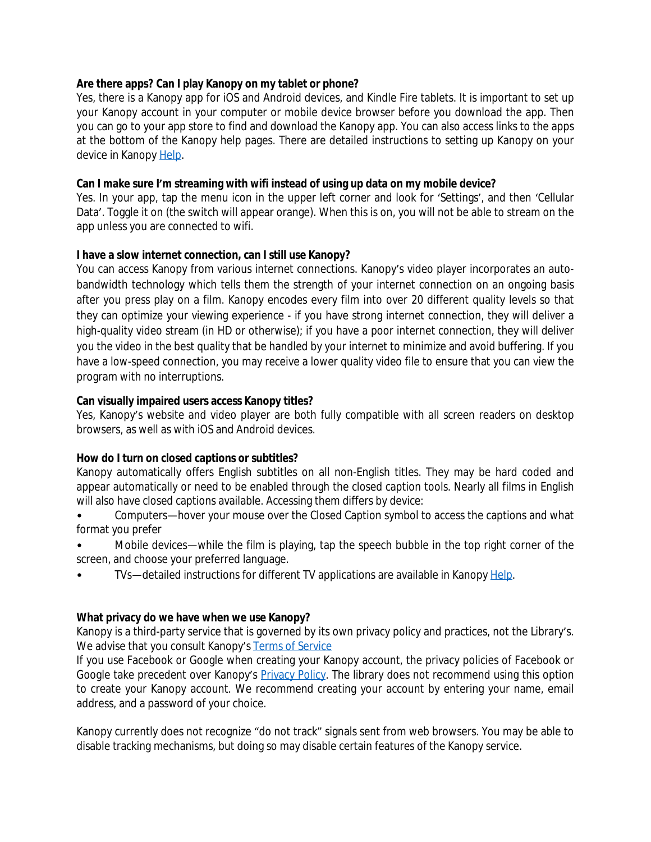#### **Are there apps? Can I play Kanopy on my tablet or phone?**

Yes, there is a Kanopy app for iOS and Android devices, and Kindle Fire tablets. It is important to set up your Kanopy account in your computer or mobile device browser before you download the app. Then you can go to your app store to find and download the Kanopy app. You can also access links to the apps at the bottom of the Kanopy help pages. There are detailed instructions to setting up Kanopy on your device in Kanopy [Help.](https://help.kanopy.com/hc/en-us/sections/207299708-Mobile-TV-Apps)

#### **Can I make sure I'm streaming with wifi instead of using up data on my mobile device?**

Yes. In your app, tap the menu icon in the upper left corner and look for 'Settings', and then 'Cellular Data'. Toggle it on (the switch will appear orange). When this is on, you will not be able to stream on the app unless you are connected to wifi.

#### **I have a slow internet connection, can I still use Kanopy?**

You can access Kanopy from various internet connections. Kanopy's video player incorporates an autobandwidth technology which tells them the strength of your internet connection on an ongoing basis after you press play on a film. Kanopy encodes every film into over 20 different quality levels so that they can optimize your viewing experience - if you have strong internet connection, they will deliver a high-quality video stream (in HD or otherwise); if you have a poor internet connection, they will deliver you the video in the best quality that be handled by your internet to minimize and avoid buffering. If you have a low-speed connection, you may receive a lower quality video file to ensure that you can view the program with no interruptions.

#### **Can visually impaired users access Kanopy titles?**

Yes, Kanopy's website and video player are both fully compatible with all screen readers on desktop browsers, as well as with iOS and Android devices.

#### **How do I turn on closed captions or subtitles?**

Kanopy automatically offers English subtitles on all non-English titles. They may be hard coded and appear automatically or need to be enabled through the closed caption tools. Nearly all films in English will also have closed captions available. Accessing them differs by device:

• Computers—hover your mouse over the Closed Caption symbol to access the captions and what format you prefer

- Mobile devices—while the film is playing, tap the speech bubble in the top right corner of the screen, and choose your preferred language.
- TVs—detailed instructions for different TV applications are available in Kanopy [Help.](https://help.kanopy.com/hc/en-us/articles/360019042413-Kanopy-TV-Apps)

#### **[What privacy do we have when we use Kanopy?](https://help.kanopy.com/hc/en-us/articles/360019042413-Kanopy-TV-Apps)**

Kanopy is a [third-party](https://help.kanopy.com/hc/en-us/articles/360019042413-Kanopy-TV-Apps) service that is governed by its own privacy policy and practices, not the Library's. [We advise that you consult Kanopy](https://help.kanopy.com/hc/en-us/articles/360019042413-Kanopy-TV-Apps)'s [Terms of Service](https://www.kanopy.com/terms)

If you use Facebook or Google when creating your Kanopy account, the privacy policies of [Facebook](https://www.kanopy.com/terms) or Google take [precedent](https://www.kanopy.com/terms) over [Kanopy](https://www.kanopy.com/terms)'[s](https://www.kanopy.com/terms) [Privacy Policy](https://cob.kanopy.com/privacy). The library does not recommend using this option to create your Kanopy account. We recommend creating your account by entering your name, email address, and a password of your choice.

Kanopy currently does not recognize "do not track" signals sent from web browsers. You may be able to disable tracking mechanisms, but doing so may disable certain features of the Kanopy service.